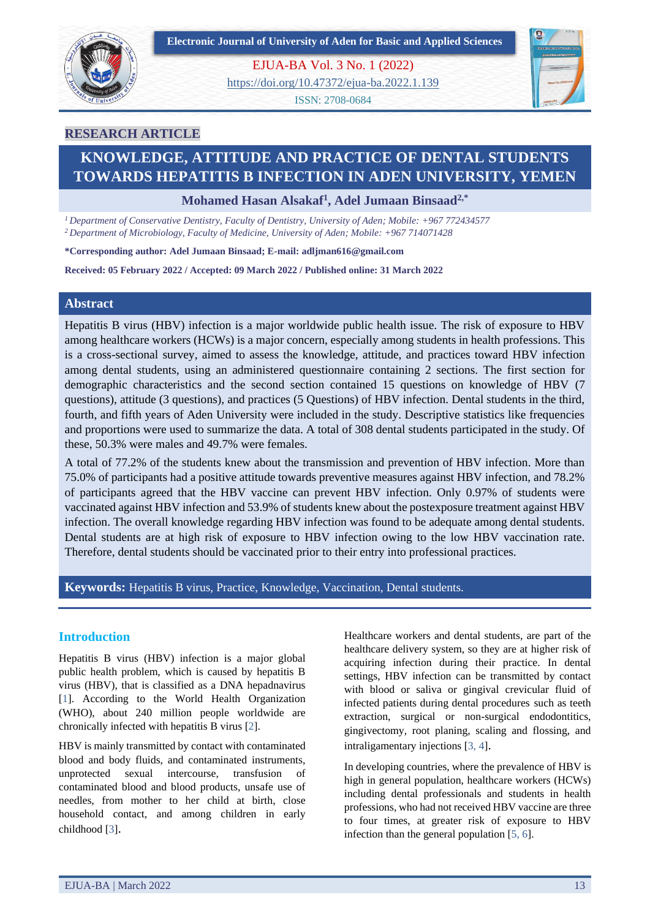



EJUA-BA Vol. 3 No. 1 (2022) <https://doi.org/10.47372/ejua-ba.2022.1.139>

ISSN: 2708-0684



# **RESEARCH ARTICLE**

# **KNOWLEDGE, ATTITUDE AND PRACTICE OF DENTAL STUDENTS TOWARDS HEPATITIS B INFECTION IN ADEN UNIVERSITY, YEMEN**

**Mohamed Hasan Alsakaf<sup>1</sup> , Adel Jumaan Binsaad2,\***

*<sup>1</sup>Department of Conservative Dentistry, Faculty of Dentistry, University of Aden; Mobile: +967 772434577 <sup>2</sup>Department of Microbiology, Faculty of Medicine, University of Aden; Mobile: +967 714071428*

**\*Corresponding author: Adel Jumaan Binsaad; E-mail: adljman616@gmail.com**

**Received: 05 February 2022 / Accepted: 09 March 2022 / Published online: 31 March 2022**

## **Abstract**

Hepatitis B virus (HBV) infection is a major worldwide public health issue. The risk of exposure to HBV among healthcare workers (HCWs) is a major concern, especially among students in health professions. This is a cross-sectional survey, aimed to assess the knowledge, attitude, and practices toward HBV infection among dental students, using an administered questionnaire containing 2 sections. The first section for demographic characteristics and the second section contained 15 questions on knowledge of HBV (7 questions), attitude (3 questions), and practices (5 Questions) of HBV infection. Dental students in the third, fourth, and fifth years of Aden University were included in the study. Descriptive statistics like frequencies and proportions were used to summarize the data. A total of 308 dental students participated in the study. Of these, 50.3% were males and 49.7% were females.

A total of 77.2% of the students knew about the transmission and prevention of HBV infection. More than 75.0% of participants had a positive attitude towards preventive measures against HBV infection, and 78.2% of participants agreed that the HBV vaccine can prevent HBV infection. Only 0.97% of students were vaccinated against HBV infection and 53.9% of students knew about the postexposure treatment against HBV infection. The overall knowledge regarding HBV infection was found to be adequate among dental students. Dental students are at high risk of exposure to HBV infection owing to the low HBV vaccination rate. Therefore, dental students should be vaccinated prior to their entry into professional practices.

**Keywords:** Hepatitis B virus, Practice, Knowledge, Vaccination, Dental students.

# **Introduction**

Hepatitis B virus (HBV) infection is a major global public health problem, which is caused by hepatitis B virus (HBV), that is classified as a DNA hepadnavirus [1]. According to the World Health Organization (WHO), about 240 million people worldwide are chronically infected with hepatitis B virus [2].

HBV is mainly transmitted by contact with contaminated blood and body fluids, and contaminated instruments, unprotected sexual intercourse, transfusion of contaminated blood and blood products, unsafe use of needles, from mother to her child at birth, close household contact, and among children in early childhood [3].

Healthcare workers and dental students, are part of the healthcare delivery system, so they are at higher risk of acquiring infection during their practice. In dental settings, HBV infection can be transmitted by contact with blood or saliva or gingival crevicular fluid of infected patients during dental procedures such as teeth extraction, surgical or non-surgical endodontitics, gingivectomy, root planing, scaling and flossing, and intraligamentary injections [3, 4].

In developing countries, where the prevalence of HBV is high in general population, healthcare workers (HCWs) including dental professionals and students in health professions, who had not received HBV vaccine are three to four times, at greater risk of exposure to HBV infection than the general population [5, 6].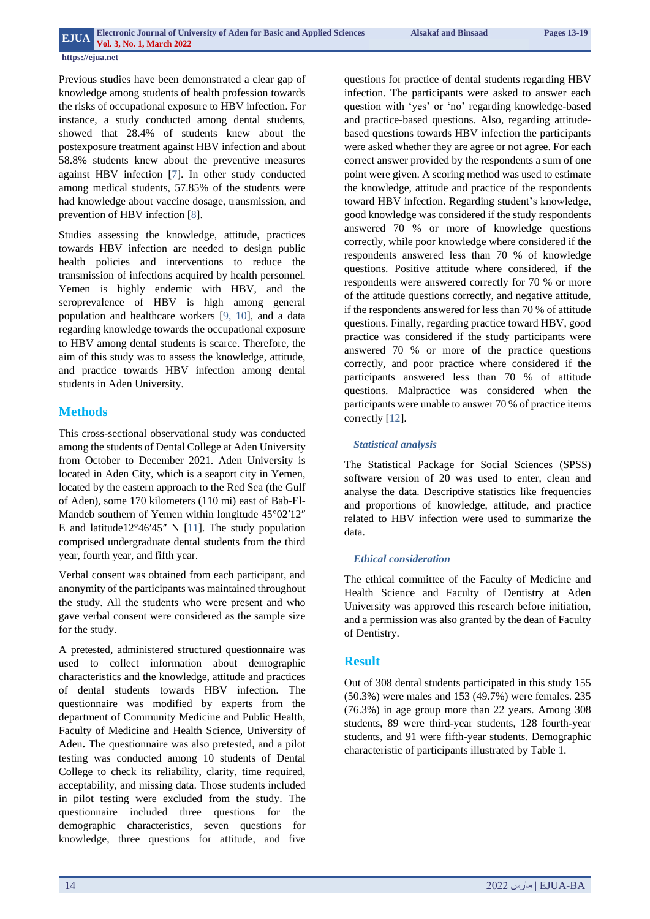#### **https://ejua.net**

Previous studies have been demonstrated a clear gap of knowledge among students of health profession towards the risks of occupational exposure to HBV infection. For instance, a study conducted among dental students, showed that 28.4% of students knew about the postexposure treatment against HBV infection and about 58.8% students knew about the preventive measures against HBV infection [7]. In other study conducted among medical students, 57.85% of the students were had knowledge about vaccine dosage, transmission, and prevention of HBV infection [8].

Studies assessing the knowledge, attitude, practices towards HBV infection are needed to design public health policies and interventions to reduce the transmission of infections acquired by health personnel. Yemen is highly endemic with HBV, and the seroprevalence of HBV is high among general population and healthcare workers [9, 10], and a data regarding knowledge towards the occupational exposure to HBV among dental students is scarce. Therefore, the aim of this study was to assess the knowledge, attitude, and practice towards HBV infection among dental students in Aden University.

## **Methods**

This cross-sectional observational study was conducted among the students of Dental College at Aden University from October to December 2021. Aden University is located in Aden City, which is a seaport city in Yemen, located by the eastern approach to the Red Sea (the Gulf of Aden), some 170 kilometers (110 mi) east of Bab-El-Mandeb southern of Yemen within longitude  $45^{\circ}02'12''$ E and latitude12°46′45″ N [11]. The study population comprised undergraduate dental students from the third year, fourth year, and fifth year.

Verbal consent was obtained from each participant, and anonymity of the participants was maintained throughout the study. All the students who were present and who gave verbal consent were considered as the sample size for the study.

A pretested, administered structured questionnaire was used to collect information about demographic characteristics and the knowledge, attitude and practices of dental students towards HBV infection. The questionnaire was modified by experts from the department of Community Medicine and Public Health, Faculty of Medicine and Health Science, University of Aden**.** The questionnaire was also pretested, and a pilot testing was conducted among 10 students of Dental College to check its reliability, clarity, time required, acceptability, and missing data. Those students included in pilot testing were excluded from the study. The questionnaire included three questions for the demographic characteristics, seven questions for knowledge, three questions for attitude, and five

questions for practice of dental students regarding HBV infection. The participants were asked to answer each question with 'yes' or 'no' regarding knowledge-based and practice-based questions. Also, regarding attitudebased questions towards HBV infection the participants were asked whether they are agree or not agree. For each correct answer provided by the respondents a sum of one point were given. A scoring method was used to estimate the knowledge, attitude and practice of the respondents toward HBV infection. Regarding student's knowledge, good knowledge was considered if the study respondents answered 70 % or more of knowledge questions correctly, while poor knowledge where considered if the respondents answered less than 70 % of knowledge questions. Positive attitude where considered, if the respondents were answered correctly for 70 % or more of the attitude questions correctly, and negative attitude, if the respondents answered for less than 70 % of attitude questions. Finally, regarding practice toward HBV, good practice was considered if the study participants were answered 70 % or more of the practice questions correctly, and poor practice where considered if the participants answered less than 70 % of attitude questions. Malpractice was considered when the participants were unable to answer 70 % of practice items correctly [12].

## *Statistical analysis*

The Statistical Package for Social Sciences (SPSS) software version of 20 was used to enter, clean and analyse the data. Descriptive statistics like frequencies and proportions of knowledge, attitude, and practice related to HBV infection were used to summarize the data.

#### *Ethical consideration*

The ethical committee of the Faculty of Medicine and Health Science and Faculty of Dentistry at Aden University was approved this research before initiation, and a permission was also granted by the dean of Faculty of Dentistry.

## **Result**

Out of 308 dental students participated in this study 155 (50.3%) were males and 153 (49.7%) were females. 235 (76.3%) in age group more than 22 years. Among 308 students, 89 were third-year students, 128 fourth-year students, and 91 were fifth-year students. Demographic characteristic of participants illustrated by Table 1.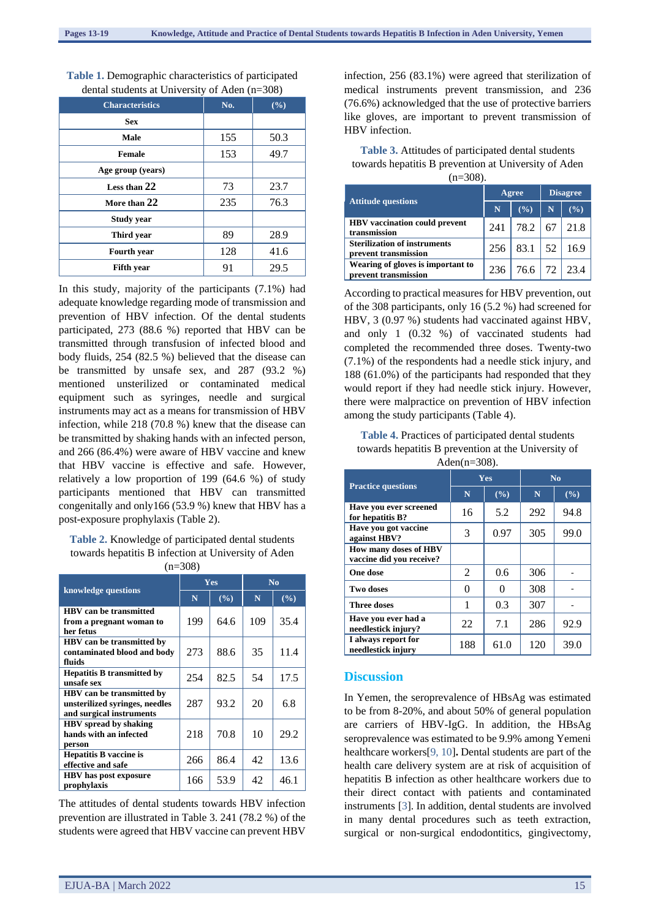| <b>Characteristics</b> | No. | (9/0) |
|------------------------|-----|-------|
| <b>Sex</b>             |     |       |
| Male                   | 155 | 50.3  |
| <b>Female</b>          | 153 | 49.7  |
| Age group (years)      |     |       |
| Less than 22           | 73  | 23.7  |
| More than 22           | 235 | 76.3  |
| <b>Study year</b>      |     |       |
| Third year             | 89  | 28.9  |
| Fourth year            | 128 | 41.6  |
| <b>Fifth</b> year      | 91  | 29.5  |

**Table 1.** Demographic characteristics of participated dental students at University of Aden (n=308)

In this study, majority of the participants (7.1%) had adequate knowledge regarding mode of transmission and prevention of HBV infection. Of the dental students participated, 273 (88.6 %) reported that HBV can be transmitted through transfusion of infected blood and body fluids, 254 (82.5 %) believed that the disease can be transmitted by unsafe sex, and 287 (93.2 %) mentioned unsterilized or contaminated medical equipment such as syringes, needle and surgical instruments may act as a means for transmission of HBV infection, while 218 (70.8 %) knew that the disease can be transmitted by shaking hands with an infected person, and 266 (86.4%) were aware of HBV vaccine and knew that HBV vaccine is effective and safe. However, relatively a low proportion of 199 (64.6 %) of study participants mentioned that HBV can transmitted congenitally and only166 (53.9 %) knew that HBV has a post-exposure prophylaxis (Table 2).

# **Table 2.** Knowledge of participated dental students towards hepatitis B infection at University of Aden

 $(n=308)$ 

| knowledge questions                                                                            |     | Yes   | N <sub>0</sub> |      |
|------------------------------------------------------------------------------------------------|-----|-------|----------------|------|
|                                                                                                | N   | (9/0) | N              | (%)  |
| HBV can be transmitted<br>from a pregnant woman to<br>her fetus                                | 199 | 64.6  | 109            | 35.4 |
| HBV can be transmitted by<br>contaminated blood and body<br>fluids                             | 273 | 88.6  | 35             | 11.4 |
| <b>Hepatitis B transmitted by</b><br>unsafe sex                                                | 254 | 82.5  | 54             | 17.5 |
| <b>HBV</b> can be transmitted by<br>unsterilized syringes, needles<br>and surgical instruments | 287 | 93.2  | 20             | 6.8  |
| <b>HBV</b> spread by shaking<br>hands with an infected<br>person                               | 218 | 70.8  | 10             | 29.2 |
| <b>Hepatitis B vaccine is</b><br>effective and safe                                            | 266 | 86.4  | 42             | 13.6 |
| <b>HBV</b> has post exposure<br>prophylaxis                                                    | 166 | 53.9  | 42             | 46.1 |

The attitudes of dental students towards HBV infection prevention are illustrated in Table 3. 241 (78.2 %) of the students were agreed that HBV vaccine can prevent HBV

infection, 256 (83.1%) were agreed that sterilization of medical instruments prevent transmission, and 236 (76.6%) acknowledged that the use of protective barriers like gloves, are important to prevent transmission of HBV infection.

**Table 3.** Attitudes of participated dental students towards hepatitis B prevention at University of Aden  $(n-308)$ 

| \'''-''''''                                                 |       |                              |                 |      |  |
|-------------------------------------------------------------|-------|------------------------------|-----------------|------|--|
|                                                             | Agree |                              | <b>Disagree</b> |      |  |
| Attitude questions                                          | N     | (%)                          | N               | (%)  |  |
| <b>HBV</b> vaccination could prevent<br>transmission        | 241   | 78.2                         | 67              | 21.8 |  |
| <b>Sterilization of instruments</b><br>prevent transmission |       | $256 \mid 83.1 \mid 52 \mid$ |                 | 16.9 |  |
| Wearing of gloves is important to<br>prevent transmission   | 236   | 76.6 72 23.4                 |                 |      |  |

According to practical measures for HBV prevention, out of the 308 participants, only 16 (5.2 %) had screened for HBV, 3 (0.97 %) students had vaccinated against HBV, and only 1 (0.32 %) of vaccinated students had completed the recommended three doses. Twenty-two (7.1%) of the respondents had a needle stick injury, and 188 (61.0%) of the participants had responded that they would report if they had needle stick injury. However, there were malpractice on prevention of HBV infection among the study participants (Table 4).

**Table 4.** Practices of participated dental students towards hepatitis B prevention at the University of Aden(n=308).

| <b>Practice questions</b>                         | Yes |          | No  |                 |
|---------------------------------------------------|-----|----------|-----|-----------------|
|                                                   | N   | (%)      | N   | $(\sqrt[6]{6})$ |
| Have you ever screened<br>for hepatitis B?        | 16  | 5.2      | 292 | 94.8            |
| Have you got vaccine<br>against HBV?              | 3   | 0.97     | 305 | 99.0            |
| How many doses of HBV<br>vaccine did you receive? |     |          |     |                 |
| One dose                                          | 2   | 0.6      | 306 |                 |
| Two doses                                         | 0   | $\theta$ | 308 |                 |
| <b>Three doses</b>                                | 1   | 0.3      | 307 |                 |
| Have you ever had a<br>needlestick injury?        | 22  | 7.1      | 286 | 92.9            |
| I always report for<br>needlestick injury         | 188 | 61.0     | 120 | 39.0            |

## **Discussion**

In Yemen, the seroprevalence of HBsAg was estimated to be from 8-20%, and about 50% of general population are carriers of HBV-IgG. In addition, the HBsAg seroprevalence was estimated to be 9.9% among Yemeni healthcare workers[9, 10]**.** Dental students are part of the health care delivery system are at risk of acquisition of hepatitis B infection as other healthcare workers due to their direct contact with patients and contaminated instruments [3]. In addition, dental students are involved in many dental procedures such as teeth extraction, surgical or non-surgical endodontitics, gingivectomy,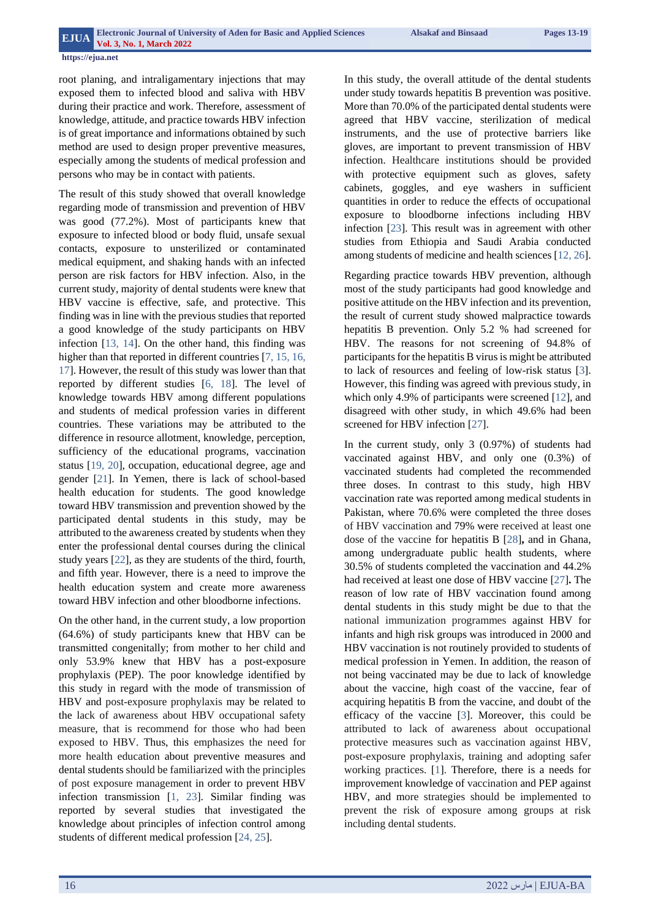#### **https://ejua.net**

root planing, and intraligamentary injections that may exposed them to infected blood and saliva with HBV during their practice and work. Therefore, assessment of knowledge, attitude, and practice towards HBV infection is of great importance and informations obtained by such method are used to design proper preventive measures, especially among the students of medical profession and persons who may be in contact with patients.

The result of this study showed that overall knowledge regarding mode of transmission and prevention of HBV was good (77.2%). Most of participants knew that exposure to infected blood or body fluid, unsafe sexual contacts, exposure to unsterilized or contaminated medical equipment, and shaking hands with an infected person are risk factors for HBV infection. Also, in the current study, majority of dental students were knew that HBV vaccine is effective, safe, and protective. This finding was in line with the previous studies that reported a good knowledge of the study participants on HBV infection [13, 14]. On the other hand, this finding was higher than that reported in different countries [7, 15, 16, 17]. However, the result of this study was lower than that reported by different studies [6, 18]. The level of knowledge towards HBV among different populations and students of medical profession varies in different countries. These variations may be attributed to the difference in resource allotment, knowledge, perception, sufficiency of the educational programs, vaccination status [19, 20], occupation, educational degree, age and gender [21]. In Yemen, there is lack of school-based health education for students. The good knowledge toward HBV transmission and prevention showed by the participated dental students in this study, may be attributed to the awareness created by students when they enter the professional dental courses during the clinical study years [22], as they are students of the third, fourth, and fifth year. However, there is a need to improve the health education system and create more awareness toward HBV infection and other bloodborne infections.

On the other hand, in the current study, a low proportion (64.6%) of study participants knew that HBV can be transmitted congenitally; from mother to her child and only 53.9% knew that HBV has a post-exposure prophylaxis (PEP). The poor knowledge identified by this study in regard with the mode of transmission of HBV and post-exposure prophylaxis may be related to the lack of awareness about HBV occupational safety measure, that is recommend for those who had been exposed to HBV. Thus, this emphasizes the need for more health education about preventive measures and dental students should be familiarized with the principles of post exposure management in order to prevent HBV infection transmission [1, 23]. Similar finding was reported by several studies that investigated the knowledge about principles of infection control among students of different medical profession [24, 25].

In this study, the overall attitude of the dental students under study towards hepatitis B prevention was positive. More than 70.0% of the participated dental students were agreed that HBV vaccine, sterilization of medical instruments, and the use of protective barriers like gloves, are important to prevent transmission of HBV infection. Healthcare institutions should be provided with protective equipment such as gloves, safety cabinets, goggles, and eye washers in sufficient quantities in order to reduce the effects of occupational exposure to bloodborne infections including HBV infection [23]. This result was in agreement with other studies from Ethiopia and Saudi Arabia conducted among students of medicine and health sciences [12, 26].

Regarding practice towards HBV prevention, although most of the study participants had good knowledge and positive attitude on the HBV infection and its prevention, the result of current study showed malpractice towards hepatitis B prevention. Only 5.2 % had screened for HBV. The reasons for not screening of 94.8% of participants for the hepatitis B virus is might be attributed to lack of resources and feeling of low-risk status [3]. However, this finding was agreed with previous study, in which only 4.9% of participants were screened [12], and disagreed with other study, in which 49.6% had been screened for HBV infection [27].

In the current study, only 3 (0.97%) of students had vaccinated against HBV, and only one (0.3%) of vaccinated students had completed the recommended three doses. In contrast to this study, high HBV vaccination rate was reported among medical students in Pakistan, where 70.6% were completed the three doses of HBV vaccination and 79% were received at least one dose of the vaccine for hepatitis B [28]**,** and in Ghana, among undergraduate public health students, where 30.5% of students completed the vaccination and 44.2% had received at least one dose of HBV vaccine [27]**.** The reason of low rate of HBV vaccination found among dental students in this study might be due to that the national immunization programmes against HBV for infants and high risk groups was introduced in 2000 and HBV vaccination is not routinely provided to students of medical profession in Yemen. In addition, the reason of not being vaccinated may be due to lack of knowledge about the vaccine, high coast of the vaccine, fear of acquiring hepatitis B from the vaccine, and doubt of the efficacy of the vaccine [3]. Moreover, this could be attributed to lack of awareness about occupational protective measures such as vaccination against HBV, post-exposure prophylaxis, training and adopting safer working practices. [1]. Therefore, there is a needs for improvement knowledge of vaccination and PEP against HBV, and more strategies should be implemented to prevent the risk of exposure among groups at risk including dental students.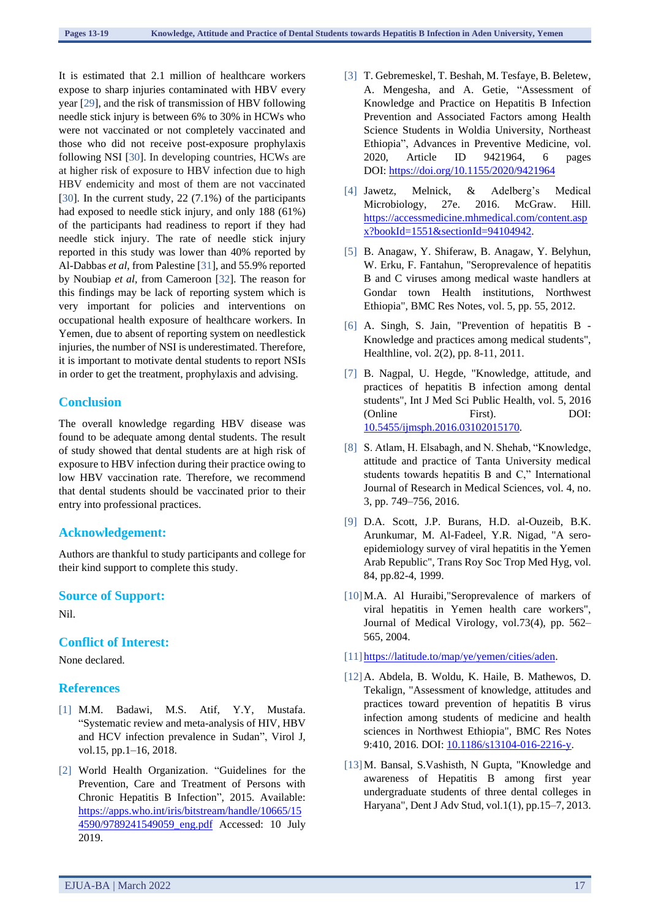It is estimated that 2.1 million of healthcare workers expose to sharp injuries contaminated with HBV every year [29], and the risk of transmission of HBV following needle stick injury is between 6% to 30% in HCWs who were not vaccinated or not completely vaccinated and those who did not receive post-exposure prophylaxis following NSI [30]. In developing countries, HCWs are at higher risk of exposure to HBV infection due to high HBV endemicity and most of them are not vaccinated [30]. In the current study, 22 (7.1%) of the participants had exposed to needle stick injury, and only 188 (61%) of the participants had readiness to report if they had needle stick injury. The rate of needle stick injury reported in this study was lower than 40% reported by Al-Dabbas *et al*, from Palestine [31], and 55.9% reported by Noubiap *et al,* from Cameroon [32]. The reason for this findings may be lack of reporting system which is very important for policies and interventions on occupational health exposure of healthcare workers. In Yemen, due to absent of reporting system on needlestick injuries, the number of NSI is underestimated. Therefore, it is important to motivate dental students to report NSIs in order to get the treatment, prophylaxis and advising.

## **Conclusion**

The overall knowledge regarding HBV disease was found to be adequate among dental students. The result of study showed that dental students are at high risk of exposure to HBV infection during their practice owing to low HBV vaccination rate. Therefore, we recommend that dental students should be vaccinated prior to their entry into professional practices.

## **Acknowledgement:**

Authors are thankful to study participants and college for their kind support to complete this study.

#### **Source of Support:**

Nil.

## **Conflict of Interest:**

None declared.

#### **References**

- [1] M.M. Badawi, M.S. Atif, Y.Y, Mustafa. "Systematic review and meta-analysis of HIV, HBV and HCV infection prevalence in Sudan", Virol J, vol.15, pp.1–16, 2018.
- [2] World Health Organization. "Guidelines for the Prevention, Care and Treatment of Persons with Chronic Hepatitis B Infection", 2015. Available: [https://apps.who.int/iris/bitstream/handle/10665/15](https://apps.who.int/iris/bitstream/handle/10665/154590/9789241549059_eng.pdf) [4590/9789241549059\\_eng.pdf](https://apps.who.int/iris/bitstream/handle/10665/154590/9789241549059_eng.pdf) Accessed: 10 July 2019.
- [3] T. Gebremeskel, T. Beshah, M. Tesfaye, B. Beletew, A. Mengesha, and A. Getie, "Assessment of Knowledge and Practice on Hepatitis B Infection Prevention and Associated Factors among Health Science Students in Woldia University, Northeast Ethiopia", Advances in Preventive Medicine, vol. 2020, Article ID 9421964, 6 pages DOI: <https://doi.org/10.1155/2020/9421964>
- [4] Jawetz, Melnick, & Adelberg's Medical Microbiology, 27e. 2016. McGraw. Hill. [https://accessmedicine.mhmedical.com/content.asp](https://accessmedicine.mhmedical.com/content.aspx?bookId=1551§ionId=94104942) [x?bookId=1551&sectionId=94104942.](https://accessmedicine.mhmedical.com/content.aspx?bookId=1551§ionId=94104942)
- [5] B. Anagaw, Y. Shiferaw, B. Anagaw, Y. Belyhun, W. Erku, F. Fantahun, "Seroprevalence of hepatitis B and C viruses among medical waste handlers at Gondar town Health institutions, Northwest Ethiopia", BMC Res Notes, vol. 5, pp. 55, 2012.
- [6] A. Singh, S. Jain, "Prevention of hepatitis B Knowledge and practices among medical students", Healthline, vol. 2(2), pp. 8-11, 2011.
- [7] B. Nagpal, U. Hegde, "Knowledge, attitude, and practices of hepatitis B infection among dental students", Int J Med Sci Public Health, vol. 5, 2016 (Online First). DOI: [10.5455/ijmsph.2016.03102015170.](http://dx.doi.org/10.5455/ijmsph.2016.03102015170)
- [8] S. Atlam, H. Elsabagh, and N. Shehab, "Knowledge, attitude and practice of Tanta University medical students towards hepatitis B and C," International Journal of Research in Medical Sciences, vol. 4, no. 3, pp. 749–756, 2016.
- [9] D.A. Scott, J.P. Burans, H.D. al-Ouzeib, B.K. Arunkumar, M. Al-Fadeel, Y.R. Nigad, "A seroepidemiology survey of viral hepatitis in the Yemen Arab Republic", Trans Roy Soc Trop Med Hyg, vol. 84, pp.82-4, 1999.
- [10]M.A. Al Huraibi,"Seroprevalence of markers of viral hepatitis in Yemen health care workers", Journal of Medical Virology, vol.73(4), pp. 562– 565, 2004.
- [11] [https://latitude.to/map/ye/yemen/cities/aden.](https://latitude.to/map/ye/yemen/cities/aden)
- [12]A. Abdela, B. Woldu, K. Haile, B. Mathewos, D. Tekalign, "Assessment of knowledge, attitudes and practices toward prevention of hepatitis B virus infection among students of medicine and health sciences in Northwest Ethiopia", BMC Res Notes 9:410, 2016. DOI: [10.1186/s13104-016-2216-y.](https://doi.org/10.1186/s13104-016-2216-y)
- [13]M. Bansal, S.Vashisth, N Gupta, "Knowledge and awareness of Hepatitis B among first year undergraduate students of three dental colleges in Haryana", Dent J Adv Stud, vol.1(1), pp.15–7, 2013.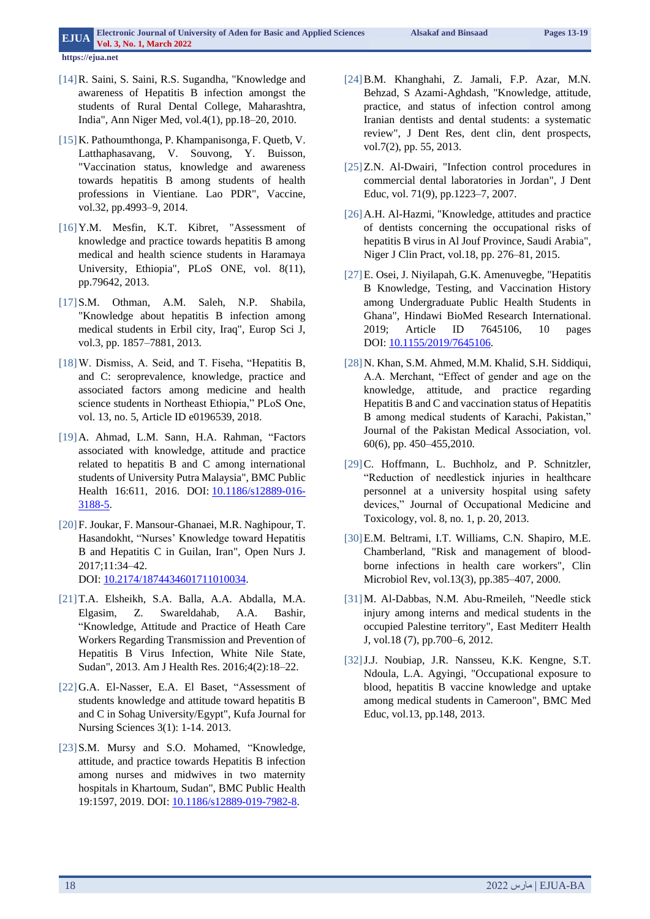**https://ejua.net**

- [14]R. Saini, S. Saini, R.S. Sugandha, "Knowledge and awareness of Hepatitis B infection amongst the students of Rural Dental College, Maharashtra, India", Ann Niger Med, vol.4(1), pp.18–20, 2010.
- [15] K. Pathoumthonga, P. Khampanisonga, F. Quetb, V. Latthaphasavang, V. Souvong, Y. Buisson, "Vaccination status, knowledge and awareness towards hepatitis B among students of health professions in Vientiane. Lao PDR", Vaccine, vol.32, pp.4993–9, 2014.
- [16]Y.M. Mesfin, K.T. Kibret, "Assessment of knowledge and practice towards hepatitis B among medical and health science students in Haramaya University, Ethiopia", PLoS ONE, vol. 8(11), pp.79642, 2013.
- [17]S.M. Othman, A.M. Saleh, N.P. Shabila, "Knowledge about hepatitis B infection among medical students in Erbil city, Iraq", Europ Sci J, vol.3, pp. 1857–7881, 2013.
- [18] W. Dismiss, A. Seid, and T. Fiseha, "Hepatitis B, and C: seroprevalence, knowledge, practice and associated factors among medicine and health science students in Northeast Ethiopia," PLoS One, vol. 13, no. 5, Article ID e0196539, 2018.
- [19]A. Ahmad, L.M. Sann, H.A. Rahman, "Factors associated with knowledge, attitude and practice related to hepatitis B and C among international students of University Putra Malaysia", BMC Public Health 16:611, 2016. DOI: [10.1186/s12889-016-](https://doi.org/10.1186/s12889-016-3188-5) [3188-5.](https://doi.org/10.1186/s12889-016-3188-5)
- [20]F. Joukar, F. Mansour-Ghanaei, M.R. Naghipour, T. Hasandokht, "Nurses' Knowledge toward Hepatitis B and Hepatitis C in Guilan, Iran", Open Nurs J. 2017;11:34–42. DOI: [10.2174/1874434601711010034.](https://doi.org/10.2174/1874434601711010034)
- [21]T.A. Elsheikh, S.A. Balla, A.A. Abdalla, M.A. Elgasim, Z. Swareldahab, A.A. Bashir, "Knowledge, Attitude and Practice of Heath Care Workers Regarding Transmission and Prevention of Hepatitis B Virus Infection, White Nile State, Sudan", 2013. Am J Health Res. 2016;4(2):18–22.
- [22]G.A. El-Nasser, E.A. El Baset, "Assessment of students knowledge and attitude toward hepatitis B and C in Sohag University/Egypt", Kufa Journal for Nursing Sciences 3(1): 1-14. 2013.
- [23] S.M. Mursy and S.O. Mohamed, "Knowledge, attitude, and practice towards Hepatitis B infection among nurses and midwives in two maternity hospitals in Khartoum, Sudan", BMC Public Health 19:1597, 2019. DOI: [10.1186/s12889-019-7982-8.](https://doi.org/10.1186/s12889-019-7982-8)
- [24]B.M. Khanghahi, Z. Jamali, F.P. Azar, M.N. Behzad, S Azami-Aghdash, "Knowledge, attitude, practice, and status of infection control among Iranian dentists and dental students: a systematic review", J Dent Res, dent clin, dent prospects, vol.7(2), pp. 55, 2013.
- [25] Z.N. Al-Dwairi, "Infection control procedures in commercial dental laboratories in Jordan", J Dent Educ, vol. 71(9), pp.1223–7, 2007.
- [26] A.H. Al-Hazmi, "Knowledge, attitudes and practice of dentists concerning the occupational risks of hepatitis B virus in Al Jouf Province, Saudi Arabia", Niger J Clin Pract, vol.18, pp. 276–81, 2015.
- [27]E. Osei, J. Niyilapah, G.K. Amenuvegbe, "Hepatitis B Knowledge, Testing, and Vaccination History among Undergraduate Public Health Students in Ghana", Hindawi BioMed Research International. 2019; Article ID 7645106, 10 pages DOI: [10.1155/2019/7645106.](https://doi.org/10.1155/2019/7645106)
- [28]N. Khan, S.M. Ahmed, M.M. Khalid, S.H. Siddiqui, A.A. Merchant, "Effect of gender and age on the knowledge, attitude, and practice regarding Hepatitis B and C and vaccination status of Hepatitis B among medical students of Karachi, Pakistan," Journal of the Pakistan Medical Association, vol. 60(6), pp. 450–455,2010.
- [29] C. Hoffmann, L. Buchholz, and P. Schnitzler, "Reduction of needlestick injuries in healthcare personnel at a university hospital using safety devices," Journal of Occupational Medicine and Toxicology, vol. 8, no. 1, p. 20, 2013.
- [30]E.M. Beltrami, I.T. Williams, C.N. Shapiro, M.E. Chamberland, "Risk and management of bloodborne infections in health care workers", Clin Microbiol Rev, vol.13(3), pp.385–407, 2000.
- [31]M. Al-Dabbas, N.M. Abu-Rmeileh, "Needle stick injury among interns and medical students in the occupied Palestine territory", East Mediterr Health J, vol.18 (7), pp.700–6, 2012.
- [32]J.J. Noubiap, J.R. Nansseu, K.K. Kengne, S.T. Ndoula, L.A. Agyingi, "Occupational exposure to blood, hepatitis B vaccine knowledge and uptake among medical students in Cameroon", BMC Med Educ, vol.13, pp.148, 2013.